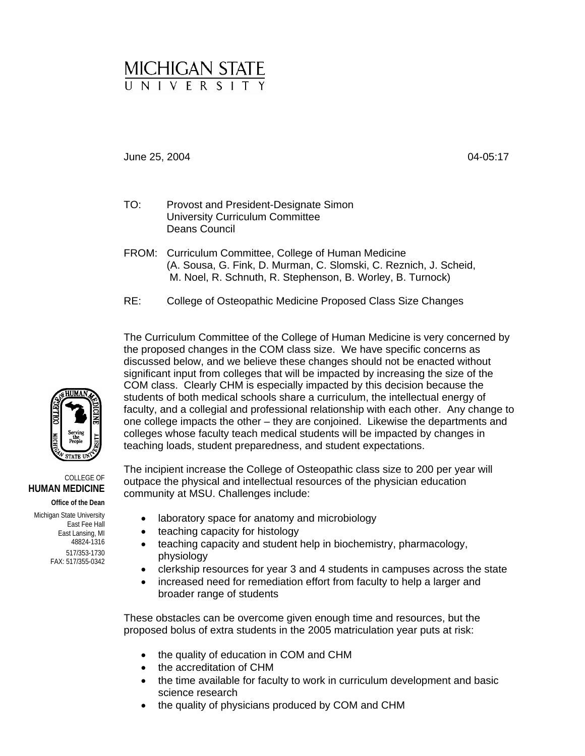# MICHIGAN STATE

## June 25, 2004 04-05:17

- TO: Provost and President-Designate Simon University Curriculum Committee Deans Council
- FROM: Curriculum Committee, College of Human Medicine (A. Sousa, G. Fink, D. Murman, C. Slomski, C. Reznich, J. Scheid, M. Noel, R. Schnuth, R. Stephenson, B. Worley, B. Turnock)
- RE: College of Osteopathic Medicine Proposed Class Size Changes

The Curriculum Committee of the College of Human Medicine is very concerned by the proposed changes in the COM class size. We have specific concerns as discussed below, and we believe these changes should not be enacted without significant input from colleges that will be impacted by increasing the size of the COM class. Clearly CHM is especially impacted by this decision because the students of both medical schools share a curriculum, the intellectual energy of faculty, and a collegial and professional relationship with each other. Any change to one college impacts the other – they are conjoined. Likewise the departments and colleges whose faculty teach medical students will be impacted by changes in teaching loads, student preparedness, and student expectations.

The incipient increase the College of Osteopathic class size to 200 per year will outpace the physical and intellectual resources of the physician education community at MSU. Challenges include:

- laboratory space for anatomy and microbiology
- teaching capacity for histology
- teaching capacity and student help in biochemistry, pharmacology, physiology
- clerkship resources for year 3 and 4 students in campuses across the state
- increased need for remediation effort from faculty to help a larger and broader range of students

These obstacles can be overcome given enough time and resources, but the proposed bolus of extra students in the 2005 matriculation year puts at risk:

- the quality of education in COM and CHM
- the accreditation of CHM
- the time available for faculty to work in curriculum development and basic science research
- the quality of physicians produced by COM and CHM



#### COLLEGE OF **HUMAN MEDICINE**

**Office of the Dean** 

Michigan State University East Fee Hall East Lansing, MI 48824-1316 517/353-1730 FAX: 517/355-0342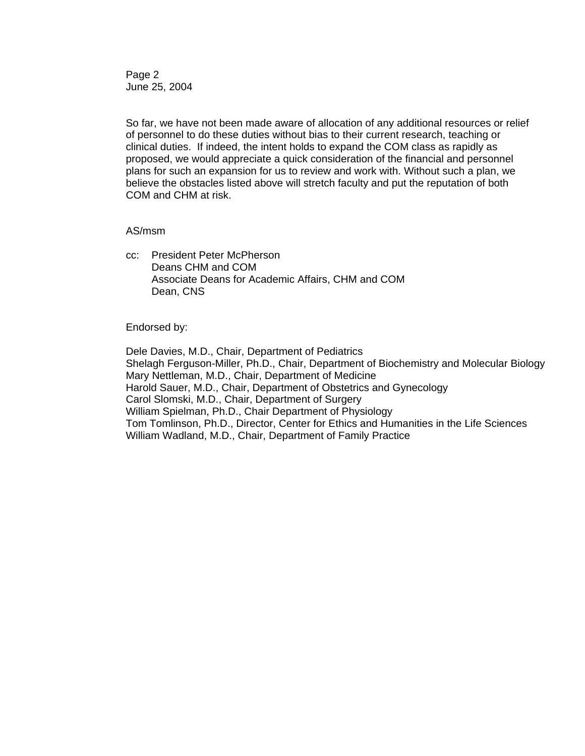Page 2 June 25, 2004

So far, we have not been made aware of allocation of any additional resources or relief of personnel to do these duties without bias to their current research, teaching or clinical duties. If indeed, the intent holds to expand the COM class as rapidly as proposed, we would appreciate a quick consideration of the financial and personnel plans for such an expansion for us to review and work with. Without such a plan, we believe the obstacles listed above will stretch faculty and put the reputation of both COM and CHM at risk.

### AS/msm

cc: President Peter McPherson Deans CHM and COM Associate Deans for Academic Affairs, CHM and COM Dean, CNS

Endorsed by:

Dele Davies, M.D., Chair, Department of Pediatrics Shelagh Ferguson-Miller, Ph.D., Chair, Department of Biochemistry and Molecular Biology Mary Nettleman, M.D., Chair, Department of Medicine Harold Sauer, M.D., Chair, Department of Obstetrics and Gynecology Carol Slomski, M.D., Chair, Department of Surgery William Spielman, Ph.D., Chair Department of Physiology Tom Tomlinson, Ph.D., Director, Center for Ethics and Humanities in the Life Sciences William Wadland, M.D., Chair, Department of Family Practice